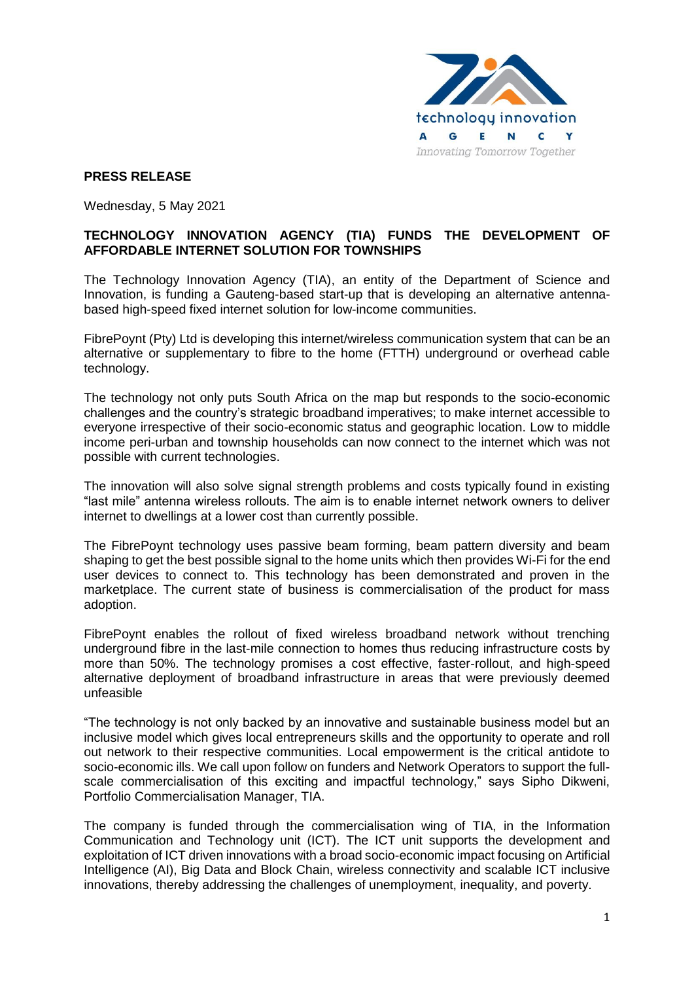

## **PRESS RELEASE**

Wednesday, 5 May 2021

## **TECHNOLOGY INNOVATION AGENCY (TIA) FUNDS THE DEVELOPMENT OF AFFORDABLE INTERNET SOLUTION FOR TOWNSHIPS**

The Technology Innovation Agency (TIA), an entity of the Department of Science and Innovation, is funding a Gauteng-based start-up that is developing an alternative antennabased high-speed fixed internet solution for low-income communities.

FibrePoynt (Pty) Ltd is developing this internet/wireless communication system that can be an alternative or supplementary to fibre to the home (FTTH) underground or overhead cable technology.

The technology not only puts South Africa on the map but responds to the socio-economic challenges and the country's strategic broadband imperatives; to make internet accessible to everyone irrespective of their socio-economic status and geographic location. Low to middle income peri-urban and township households can now connect to the internet which was not possible with current technologies.

The innovation will also solve signal strength problems and costs typically found in existing "last mile" antenna wireless rollouts. The aim is to enable internet network owners to deliver internet to dwellings at a lower cost than currently possible.

The FibrePoynt technology uses passive beam forming, beam pattern diversity and beam shaping to get the best possible signal to the home units which then provides Wi-Fi for the end user devices to connect to. This technology has been demonstrated and proven in the marketplace. The current state of business is commercialisation of the product for mass adoption.

FibrePoynt enables the rollout of fixed wireless broadband network without trenching underground fibre in the last-mile connection to homes thus reducing infrastructure costs by more than 50%. The technology promises a cost effective, faster-rollout, and high-speed alternative deployment of broadband infrastructure in areas that were previously deemed unfeasible

"The technology is not only backed by an innovative and sustainable business model but an inclusive model which gives local entrepreneurs skills and the opportunity to operate and roll out network to their respective communities. Local empowerment is the critical antidote to socio-economic ills. We call upon follow on funders and Network Operators to support the fullscale commercialisation of this exciting and impactful technology," says Sipho Dikweni, Portfolio Commercialisation Manager, TIA.

The company is funded through the commercialisation wing of TIA, in the Information Communication and Technology unit (ICT). The ICT unit supports the development and exploitation of ICT driven innovations with a broad socio-economic impact focusing on Artificial Intelligence (AI), Big Data and Block Chain, wireless connectivity and scalable ICT inclusive innovations, thereby addressing the challenges of unemployment, inequality, and poverty.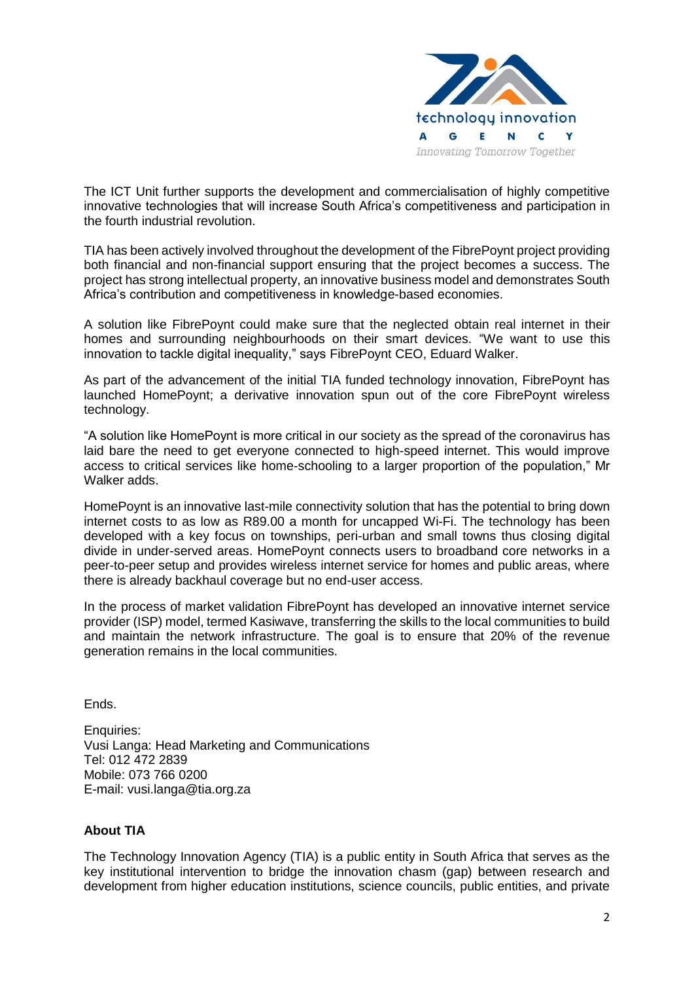

The ICT Unit further supports the development and commercialisation of highly competitive innovative technologies that will increase South Africa's competitiveness and participation in the fourth industrial revolution.

TIA has been actively involved throughout the development of the FibrePoynt project providing both financial and non-financial support ensuring that the project becomes a success. The project has strong intellectual property, an innovative business model and demonstrates South Africa's contribution and competitiveness in knowledge-based economies.

A solution like FibrePoynt could make sure that the neglected obtain real internet in their homes and surrounding neighbourhoods on their smart devices. "We want to use this innovation to tackle digital inequality," says FibrePoynt CEO, Eduard Walker.

As part of the advancement of the initial TIA funded technology innovation, FibrePoynt has launched HomePoynt; a derivative innovation spun out of the core FibrePoynt wireless technology.

"A solution like HomePoynt is more critical in our society as the spread of the coronavirus has laid bare the need to get everyone connected to high-speed internet. This would improve access to critical services like home-schooling to a larger proportion of the population," Mr Walker adds.

HomePoynt is an innovative last-mile connectivity solution that has the potential to bring down internet costs to as low as R89.00 a month for uncapped Wi-Fi. The technology has been developed with a key focus on townships, peri-urban and small towns thus closing digital divide in under-served areas. HomePoynt connects users to broadband core networks in a peer-to-peer setup and provides wireless internet service for homes and public areas, where there is already backhaul coverage but no end-user access.

In the process of market validation FibrePoynt has developed an innovative internet service provider (ISP) model, termed Kasiwave, transferring the skills to the local communities to build and maintain the network infrastructure. The goal is to ensure that 20% of the revenue generation remains in the local communities.

Ends.

Enquiries: Vusi Langa: Head Marketing and Communications Tel: 012 472 2839 Mobile: 073 766 0200 E-mail: vusi.langa@tia.org.za

## **About TIA**

The Technology Innovation Agency (TIA) is a public entity in South Africa that serves as the key institutional intervention to bridge the innovation chasm (gap) between research and development from higher education institutions, science councils, public entities, and private